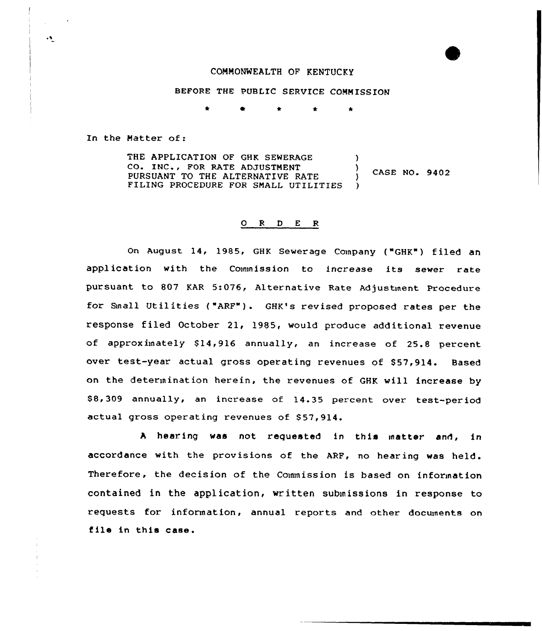### COMMONWEALTH OF KENTUCKY

# BEFORE THE PUBLIC SERVICE COMMISSION

 $\bullet$ 

In the Hatter of:

THE APPLICATION OF GHK SEWERAGE  $\lambda$ CO. INC., FOR RATE ADJUSTMENT  $\lambda$ CASE NO. 9402 PURSUANT TO THE ALTERNATIVE RATE FILING PROCEDURE FOR SMALL UTILITIES )

# 0 <sup>R</sup> <sup>D</sup> E <sup>R</sup>

On August 14, 1985, GHK Sewerage Company ("GHK") filed an application with the Commission to increase its sewer rate pursuant to 807 KAR 5:076, Alternative Rate Adjustment Procedure for Snail Utilities ("ARF"). GHK's revised proposed rates per the response filed October 21, 1985, would produce additional revenue of approximately \$14,916 annually, an increase of 25.8 percent over test-year actual gross operating revenues of \$57,914. Based on the determination herein, the revenues of GHK will increase by \$8,309 annually, an increase of 14.35 percent over test-period actual gross operating revenues of \$57,914.

A hearing was not requested in this matter and, in accordance with the provisions of the ARF, no hearing was held. Therefore, the decision of the Couunission is based on information contained in the application, written submissions in response to requests for information, annual reports and other documents on file in this case.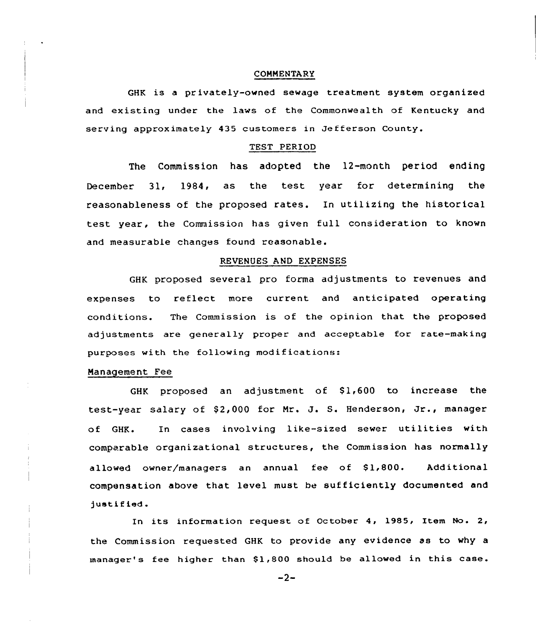### COMMENTARy

GHK is a privately-owned sewage treatment system organized and existing under the laws of the Commonwealth of Kentucky and serving approximately 435 customers in Jefferson County.

#### TEST PERIOD

The Commission has adopted the 12-month period ending December 31, 1984, as the test year for determining the reasonableness of the proposed rates. In utilizing the historical test year, the Commission has given full consideration to known and measurable changes found reasonable.

### REVENUES AND EXPENSES

GHK proposed several pro forma adjustments to revenues and expenses to reflect more current and anticipated operating conditions. The Commission is of the opinion that the proposed adjustments are generally proper and acceptable for rate-making purposes with the following modifications:

### Management Fee

GHK proposed an adjustment of  $$1,600$  to increase the test-year salary of \$2,000 for Mr. J. S. Henderson, Jr., manager of GHR. In cases involving like-sized sewer utilities with comparable organizational structures, the Commission has normally allowed owner/managers an annual fee of 91,800. Additional compensation above that level must be sufficiently documented and justified

In its information request of October 4, 1985, Item No. 2, the Commission requested GHK to provide any evidence as to why a manager's fee higher than \$1,800 should be allowed in this case.

 $-2-$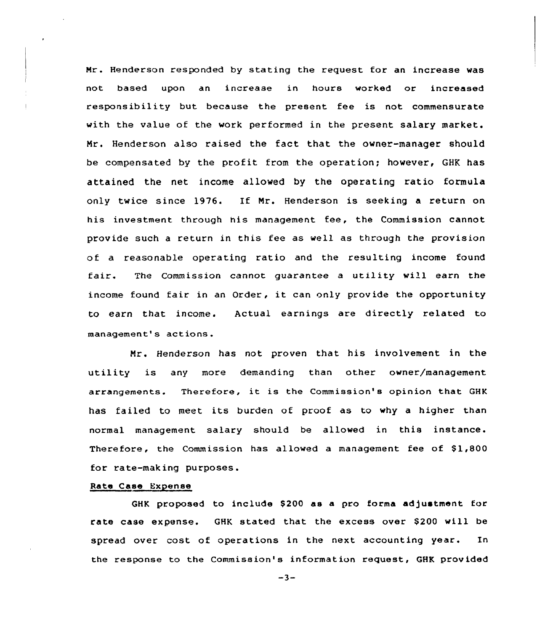Mr. Henderson responded by stating the request for an increase was not based upon an increase in hours worked or increased responsibility but because the present fee is not commensurate with the value of the work performed in the present salary market. Mr. Henderson also raised the fact that the owner-manager should be compensated by the profit from the operation; however, GHK has attained the net income allowed by the operating ratio formula only twice since 1976. If Nr. Henderson is seeking a return on his investment through his management fee, the Commission cannot provide such a return in this fee as well as through the provision of a reasonable operating ratio and the resulting income found fair. The Commission cannot guarantee <sup>a</sup> utility will earn the income found fair in an Order, it can only provide the opportunity to earn that income. Actual earnings are directly related to management's actions.

Nr. Henderson has not proven that his involvement in the utility is any more demanding than other owner/management arrangements. Therefore, it is the Commission's opinion that GHK has failed to meet its burden of proof as to why <sup>a</sup> higher than normal management salary should be allowed in this instance. Therefore, the Commission has allowed a management fee of \$1,800 for rate-making purposes.

### Rate Case Expense

GHK proposed to include \$200 as a pro forma adjustment for rate case expense. GHK stated that the excess over \$200 will be spread over cost of operations in the next accounting year. In the response to the Commission's information request, GHK provided

 $-3-$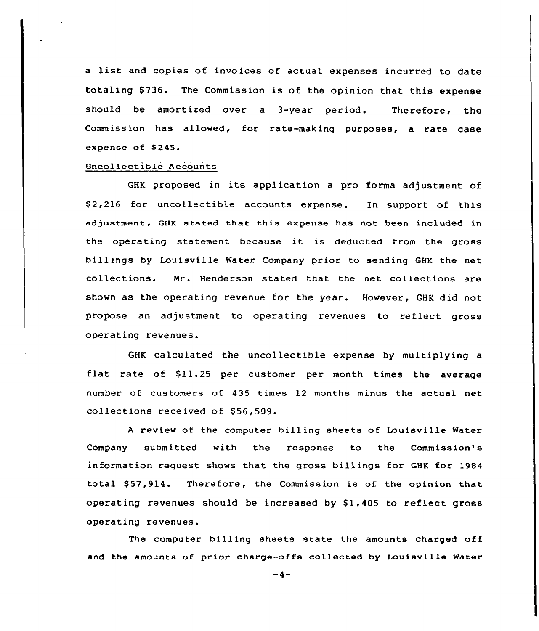<sup>a</sup> list and copies of invoices of actual expenses incurred to date totaling \$736. The Commission is of the opinion that this expense should be amortized over a 3-year period. Therefore, the Commission has allowed, for rate-making purposes, a rate case expense of \$245.

# Uncollectible Accounts

GHK proposed in its application <sup>a</sup> pro forma adjustment of \$ 2,216 for uncollectible accounts expense. In support of this adjustment, GHK stated that this expense has not been included in the operating statement because it is deducted from the gross billings by Louisville Water Company prior to sending GHK the net collections. Nr. Henderson stated that the net collections are shown as the operating revenue for the year. However, GHK did not propose an adjustment to operating revenues to reflect gross operating revenues.

GHK calculated the uncollectible expense by multiplying a flat rate of \$11.25 per customer per month times the average number of customers of 435 times 12 months minus the actual net collections received of \$56,509.

<sup>A</sup> review of the computer billing sheets of Louisville Water Company submitted with the response to the Commission's information request shows that the gross billings for GHK for 1984 total \$57,914. Therefore, the Commission is of the opinion that operating revenues should be increased by  $$1,405$  to reflect gross operating revenues.

The computer billing sheets state the amounts charged off and the amounts of prior charge-offs collected by Douisville Water

 $-4-$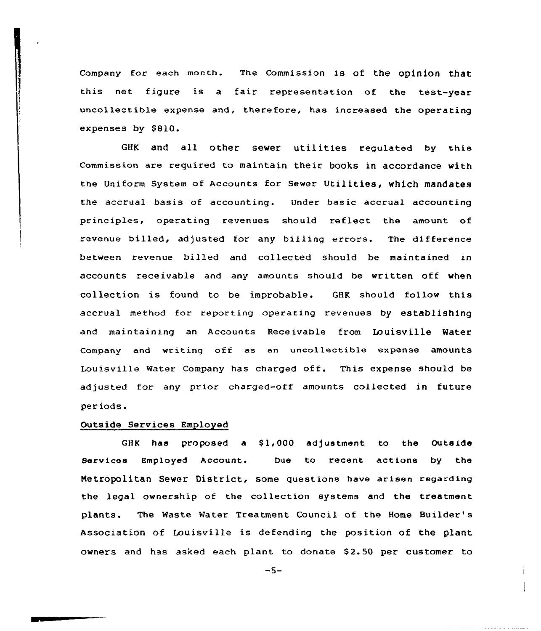company for each month. The commission is of the opinion that this net figure is a fair representation of the test-year uncollectible expense and, therefore, has increased the operating expenses by \$810.

GHK and all other sewer utilities regulated by this Commission are required to maintain their books in accordance with the Uniform System of Accounts for Sewer Utilities, which mandates the accrual basis of accounting. Under basic accrual accounting principles, operating revenues should reflect the amount of revenue billed, adjusted for any billing errors. The difference between revenue billed and collected should be maintained in accounts receivable and any amounts should be written off when collection is found to be improbable. GHK should follow this accrual method for reporting operating revenues by establishing and maintaining an Accounts Receivable from Louisville Water Company and writing off as an unccllectible expense amounts Louisville Water Company has charged off. This expense should be adjusted for any prior charged-off amounts collected in future periods.

### Outside Services Employed

GHK has proposed a \$1,000 adjustment to the Outside Services Employed Account. Due to recent actions by the Metropolitan Sewer District, some questions have arisen regarding the legal ownership of the collection systems and the treatment plants. The Waste Water Treatment Council of the Home Builder' Association of Louisville is defending the position of the plant owners and has asked each plant to donate \$2.50 per customer to

 $-5-$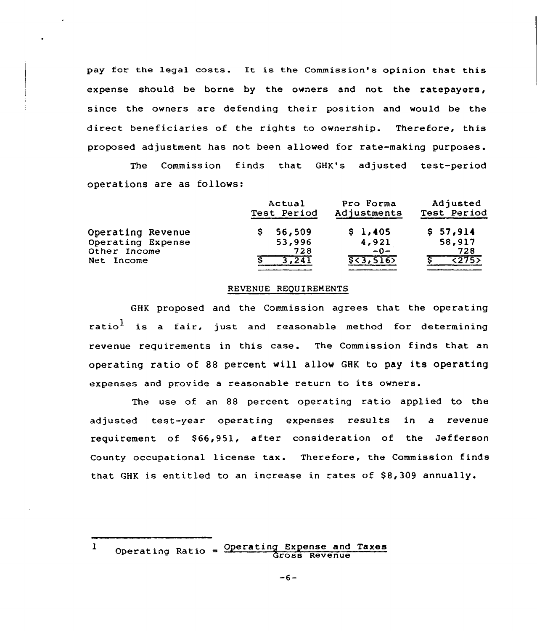pay for the legal costs. It is the Commission's opinion that this expense should be borne by the owners and not the ratepayers, since the owners are defending their position and would be the direct beneficiaries of the rights to ownership. Therefore, this proposed adjustment has not been allowed for rate-making purposes.

The Commission finds that GHK's adjusted test-period operations are as follows:

|                   | Actual<br>Test Period | Pro Forma<br>Adjustments | Adjusted<br>Test Period |
|-------------------|-----------------------|--------------------------|-------------------------|
| Operating Revenue | 56,509                | \$1,405                  | \$57,914                |
| Operating Expense | 53,996                | 4,921                    | 58,917                  |
| Other Income      | 728                   | $-0-$                    | 728                     |
| Net Income        | 3.241                 | 553,516                  | 5275                    |

### REVENUE REQUIREMENTS

GHK proposed and the Commission agrees that the operating ratio<sup>1</sup> is a fair, just and reasonable method for determining revenue requirements in this case. The Commission finds that an operating ratio of 88 percent will allow GHK to pay its operating expenses and provide <sup>a</sup> reasonable return to its owners.

The use of an 88 percent operating ratio applied to the adjusted test-year operating expenses results in a revenue requirement of \$66,951, after consideration of the Jefferson County occupational license tax. Therefore, the Commission finds that GHK is entitled to an increase in rates of  $$8,309$  annually.

Operating Ratio = Operating Expense and Taxes  $\mathbf{I}$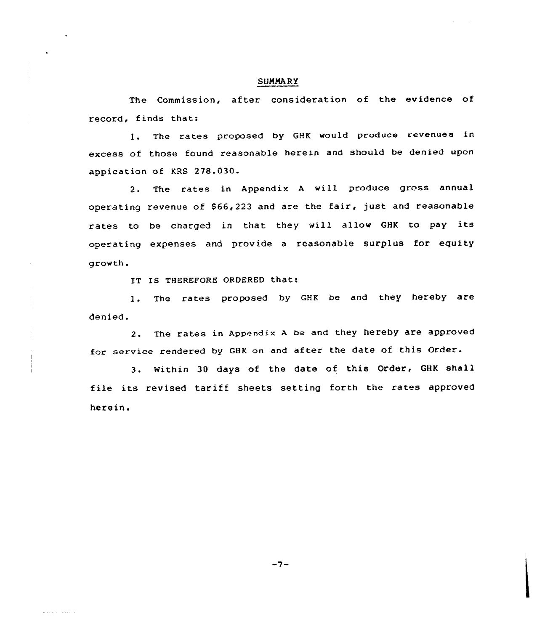# SUMMARY

The Commission, after consideration of the evidence of record, finds that:

l. The rates proposed by GHK would produce revenues in excess of those found reasonable herein and should be denied upon appication of KRS 278.030.

2. The rates in. Appendix <sup>A</sup> will produce gross annual operating revenue of \$66,223 and are the fair, just and reasonable rates to be charged in that they will allow GHK to pay its operating expenses and provide a reasonable surplus for equity growth.

IT IS THEREFORE ORDEREO that:

الأستحدث المتحدما

1. The rates proposed by GHK be and they hereby are denied.

2. The rates in Appendix <sup>A</sup> be and they hereby are approved for service rendered by GHK on and after the date of this Order.

3. Within 30 days of the date of this Order, GHK shall file its revised tariff sheets setting forth the rates approved herein.

 $-7-$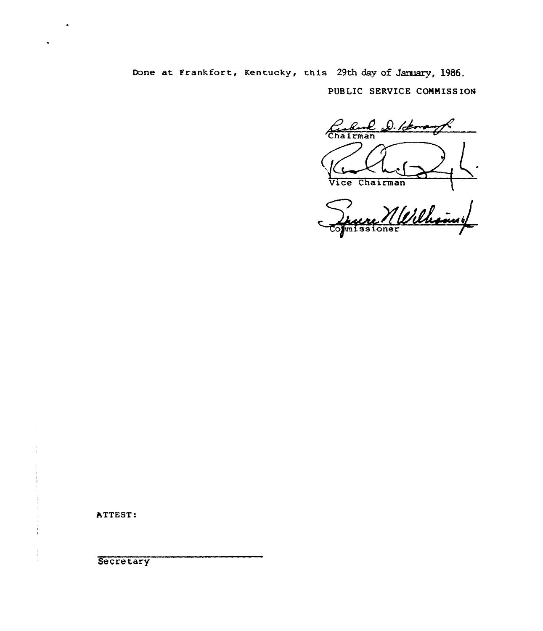Done at Frankfort, Kentucky, this 29th day of January, 1986. PUBLIC SERVICE COMMISSION

Chairman D. Rome Vice Chairman  $\mathbf{I}$ 

Merchanny

**ATTEST:** 

**Secretary**